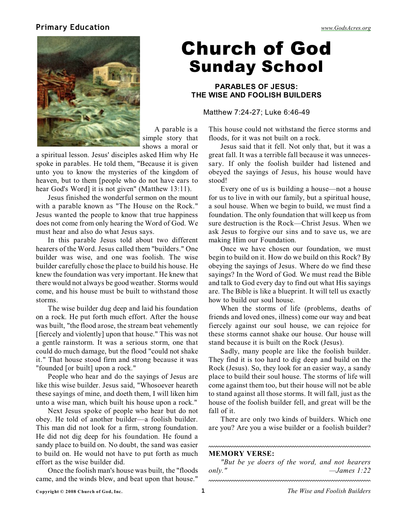### **Primary Education** *[www.GodsAcres.org](http://godsacres.org)*



Church of God Sunday School

### **PARABLES OF JESUS: THE WISE AND FOOLISH BUILDERS**

Matthew 7:24-27; Luke 6:46-49

A parable is a simple story that shows a moral or

a spiritual lesson. Jesus' disciples asked Him why He spoke in parables. He told them, "Because it is given unto you to know the mysteries of the kingdom of heaven, but to them [people who do not have ears to hear God's Word] it is not given" (Matthew 13:11).

Jesus finished the wonderful sermon on the mount with a parable known as "The House on the Rock." Jesus wanted the people to know that true happiness does not come from only hearing the Word of God. We must hear and also do what Jesus says.

In this parable Jesus told about two different hearers of the Word. Jesus called them "builders." One builder was wise, and one was foolish. The wise builder carefully chose the place to build his house. He knew the foundation was very important. He knew that there would not always be good weather. Storms would come, and his house must be built to withstand those storms.

The wise builder dug deep and laid his foundation on a rock. He put forth much effort. After the house was built, "the flood arose, the stream beat vehemently [fiercely and violently] upon that house." This was not a gentle rainstorm. It was a serious storm, one that could do much damage, but the flood "could not shake it." That house stood firm and strong because it was "founded [or built] upon a rock."

People who hear and do the sayings of Jesus are like this wise builder. Jesus said, "Whosoever heareth these sayings of mine, and doeth them, I will liken him unto a wise man, which built his house upon a rock."

Next Jesus spoke of people who hear but do not obey. He told of another builder—a foolish builder. This man did not look for a firm, strong foundation. He did not dig deep for his foundation. He found a sandy place to build on. No doubt, the sand was easier to build on. He would not have to put forth as much effort as the wise builder did.

Once the foolish man's house was built, the "floods came, and the winds blew, and beat upon that house."

This house could not withstand the fierce storms and floods, for it was not built on a rock.

Jesus said that it fell. Not only that, but it was a great fall. It was a terrible fall because it was unnecessary. If only the foolish builder had listened and obeyed the sayings of Jesus, his house would have stood!

Every one of us is building a house—not a house for us to live in with our family, but a spiritual house, a soul house. When we begin to build, we must find a foundation. The only foundation that will keep us from sure destruction is the Rock—Christ Jesus. When we ask Jesus to forgive our sins and to save us, we are making Him our Foundation.

Once we have chosen our foundation, we must begin to build on it. How do we build on this Rock? By obeying the sayings of Jesus. Where do we find these sayings? In the Word of God. We must read the Bible and talk to God every day to find out what His sayings are. The Bible is like a blueprint. It will tell us exactly how to build our soul house.

When the storms of life (problems, deaths of friends and loved ones, illness) come our way and beat fiercely against our soul house, we can rejoice for these storms cannot shake our house. Our house will stand because it is built on the Rock (Jesus).

Sadly, many people are like the foolish builder. They find it is too hard to dig deep and build on the Rock (Jesus). So, they look for an easier way, a sandy place to build their soul house. The storms of life will come against them too, but their house will not be able to stand against all those storms. It will fall, just as the house of the foolish builder fell, and great will be the fall of it.

There are only two kinds of builders. Which one are you? Are you a wise builder or a foolish builder?

#### **MEMORY VERSE:**

*"But be ye doers of the word, and not hearers only." —James 1:22*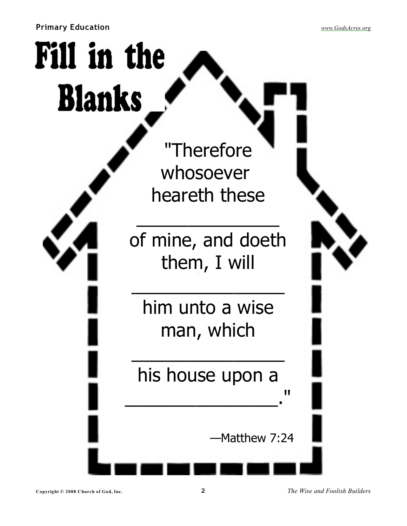**Primary Education** *[www.GodsAcres.org](http://godsacres.org)*